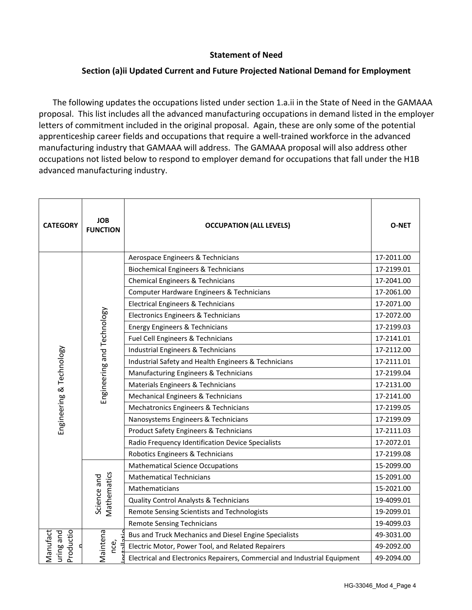## **Statement of Need**

## **Section (a)ii Updated Current and Future Projected National Demand for Employment**

The following updates the occupations listed under section 1.a.ii in the State of Need in the GAMAAA proposal. This list includes all the advanced manufacturing occupations in demand listed in the employer letters of commitment included in the original proposal. Again, these are only some of the potential apprenticeship career fields and occupations that require a well-trained workforce in the advanced manufacturing industry that GAMAAA will address. The GAMAAA proposal will also address other occupations not listed below to respond to employer demand for occupations that fall under the H1B advanced manufacturing industry.

| <b>CATEGORY</b>                    | <b>JOB</b><br><b>FUNCTION</b> | <b>OCCUPATION (ALL LEVELS)</b>                                            | <b>O-NET</b> |
|------------------------------------|-------------------------------|---------------------------------------------------------------------------|--------------|
|                                    | Engineering and Technology    | Aerospace Engineers & Technicians                                         | 17-2011.00   |
|                                    |                               | <b>Biochemical Engineers &amp; Technicians</b>                            | 17-2199.01   |
|                                    |                               | <b>Chemical Engineers &amp; Technicians</b>                               | 17-2041.00   |
|                                    |                               | Computer Hardware Engineers & Technicians                                 | 17-2061.00   |
|                                    |                               | <b>Electrical Engineers &amp; Technicians</b>                             | 17-2071.00   |
|                                    |                               | Electronics Engineers & Technicians                                       | 17-2072.00   |
|                                    |                               | <b>Energy Engineers &amp; Technicians</b>                                 | 17-2199.03   |
|                                    |                               | Fuel Cell Engineers & Technicians                                         | 17-2141.01   |
|                                    |                               | <b>Industrial Engineers &amp; Technicians</b>                             | 17-2112.00   |
|                                    |                               | Industrial Safety and Health Engineers & Technicians                      | 17-2111.01   |
|                                    |                               | Manufacturing Engineers & Technicians                                     | 17-2199.04   |
| Engineering & Technology           |                               | Materials Engineers & Technicians                                         | 17-2131.00   |
|                                    |                               | Mechanical Engineers & Technicians                                        | 17-2141.00   |
|                                    |                               | Mechatronics Engineers & Technicians                                      | 17-2199.05   |
|                                    |                               | Nanosystems Engineers & Technicians                                       | 17-2199.09   |
|                                    |                               | <b>Product Safety Engineers &amp; Technicians</b>                         | 17-2111.03   |
|                                    |                               | Radio Frequency Identification Device Specialists                         | 17-2072.01   |
|                                    |                               | Robotics Engineers & Technicians                                          | 17-2199.08   |
|                                    | Vlathematics<br>Science and   | <b>Mathematical Science Occupations</b>                                   | 15-2099.00   |
|                                    |                               | <b>Mathematical Technicians</b>                                           | 15-2091.00   |
|                                    |                               | <b>Mathematicians</b>                                                     | 15-2021.00   |
|                                    |                               | Quality Control Analysts & Technicians                                    | 19-4099.01   |
|                                    |                               | Remote Sensing Scientists and Technologists                               | 19-2099.01   |
|                                    |                               | <b>Remote Sensing Technicians</b>                                         | 19-4099.03   |
|                                    | Maintena                      | Bus and Truck Mechanics and Diesel Engine Specialists                     | 49-3031.00   |
| Productio<br>uring and<br>Manufact | nce,                          | Electric Motor, Power Tool, and Related Repairers                         | 49-2092.00   |
|                                    |                               | Electrical and Electronics Repairers, Commercial and Industrial Equipment | 49-2094.00   |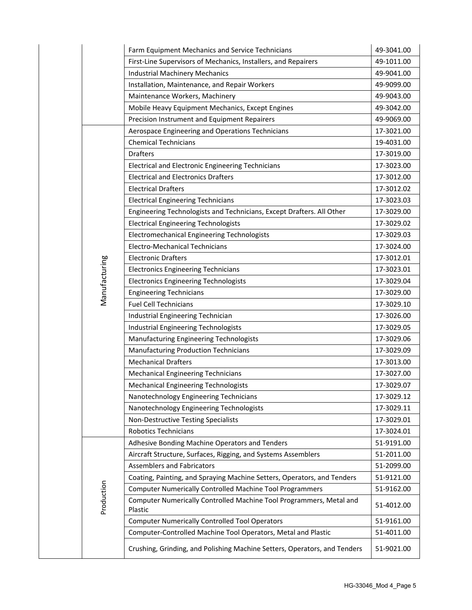|               | Farm Equipment Mechanics and Service Technicians                               | 49-3041.00 |
|---------------|--------------------------------------------------------------------------------|------------|
|               | First-Line Supervisors of Mechanics, Installers, and Repairers                 | 49-1011.00 |
|               | <b>Industrial Machinery Mechanics</b>                                          | 49-9041.00 |
|               | Installation, Maintenance, and Repair Workers                                  | 49-9099.00 |
|               | Maintenance Workers, Machinery                                                 | 49-9043.00 |
|               | Mobile Heavy Equipment Mechanics, Except Engines                               | 49-3042.00 |
|               | Precision Instrument and Equipment Repairers                                   | 49-9069.00 |
|               | Aerospace Engineering and Operations Technicians                               | 17-3021.00 |
|               | <b>Chemical Technicians</b>                                                    | 19-4031.00 |
|               | <b>Drafters</b>                                                                | 17-3019.00 |
|               | <b>Electrical and Electronic Engineering Technicians</b>                       | 17-3023.00 |
|               | <b>Electrical and Electronics Drafters</b>                                     | 17-3012.00 |
|               | <b>Electrical Drafters</b>                                                     | 17-3012.02 |
|               | <b>Electrical Engineering Technicians</b>                                      | 17-3023.03 |
|               | Engineering Technologists and Technicians, Except Drafters. All Other          | 17-3029.00 |
|               | <b>Electrical Engineering Technologists</b>                                    | 17-3029.02 |
|               | <b>Electromechanical Engineering Technologists</b>                             | 17-3029.03 |
|               | <b>Electro-Mechanical Technicians</b>                                          | 17-3024.00 |
|               | <b>Electronic Drafters</b>                                                     | 17-3012.01 |
| Manufacturing | <b>Electronics Engineering Technicians</b>                                     | 17-3023.01 |
|               | <b>Electronics Engineering Technologists</b>                                   | 17-3029.04 |
|               | <b>Engineering Technicians</b>                                                 | 17-3029.00 |
|               | <b>Fuel Cell Technicians</b>                                                   | 17-3029.10 |
|               | Industrial Engineering Technician                                              | 17-3026.00 |
|               | <b>Industrial Engineering Technologists</b>                                    | 17-3029.05 |
|               | Manufacturing Engineering Technologists                                        | 17-3029.06 |
|               | <b>Manufacturing Production Technicians</b>                                    | 17-3029.09 |
|               | <b>Mechanical Drafters</b>                                                     | 17-3013.00 |
|               | <b>Mechanical Engineering Technicians</b>                                      | 17-3027.00 |
|               | <b>Mechanical Engineering Technologists</b>                                    | 17-3029.07 |
|               | Nanotechnology Engineering Technicians                                         | 17-3029.12 |
|               | Nanotechnology Engineering Technologists                                       | 17-3029.11 |
|               | Non-Destructive Testing Specialists                                            | 17-3029.01 |
|               | <b>Robotics Technicians</b>                                                    | 17-3024.01 |
|               | Adhesive Bonding Machine Operators and Tenders                                 | 51-9191.00 |
|               | Aircraft Structure, Surfaces, Rigging, and Systems Assemblers                  | 51-2011.00 |
|               | <b>Assemblers and Fabricators</b>                                              | 51-2099.00 |
|               | Coating, Painting, and Spraying Machine Setters, Operators, and Tenders        | 51-9121.00 |
|               | <b>Computer Numerically Controlled Machine Tool Programmers</b>                | 51-9162.00 |
| Production    | Computer Numerically Controlled Machine Tool Programmers, Metal and<br>Plastic | 51-4012.00 |
|               | <b>Computer Numerically Controlled Tool Operators</b>                          | 51-9161.00 |
|               | Computer-Controlled Machine Tool Operators, Metal and Plastic                  | 51-4011.00 |
|               | Crushing, Grinding, and Polishing Machine Setters, Operators, and Tenders      | 51-9021.00 |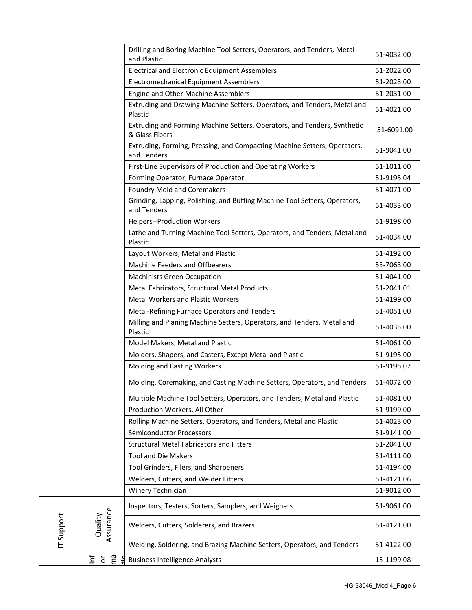|            |                                   | Drilling and Boring Machine Tool Setters, Operators, and Tenders, Metal<br>and Plastic                           | 51-4032.00               |
|------------|-----------------------------------|------------------------------------------------------------------------------------------------------------------|--------------------------|
|            |                                   | Electrical and Electronic Equipment Assemblers                                                                   | 51-2022.00               |
|            |                                   | Electromechanical Equipment Assemblers                                                                           | 51-2023.00               |
|            |                                   | Engine and Other Machine Assemblers                                                                              | 51-2031.00               |
|            |                                   | Extruding and Drawing Machine Setters, Operators, and Tenders, Metal and<br>Plastic                              | 51-4021.00               |
|            |                                   | Extruding and Forming Machine Setters, Operators, and Tenders, Synthetic<br>& Glass Fibers                       | 51-6091.00               |
|            |                                   | Extruding, Forming, Pressing, and Compacting Machine Setters, Operators,<br>and Tenders                          | 51-9041.00               |
|            |                                   | First-Line Supervisors of Production and Operating Workers                                                       | 51-1011.00               |
|            |                                   | Forming Operator, Furnace Operator                                                                               | 51-9195.04               |
|            |                                   | <b>Foundry Mold and Coremakers</b>                                                                               | 51-4071.00               |
|            |                                   | Grinding, Lapping, Polishing, and Buffing Machine Tool Setters, Operators,<br>and Tenders                        | 51-4033.00               |
|            |                                   | <b>Helpers--Production Workers</b>                                                                               | 51-9198.00               |
|            |                                   | Lathe and Turning Machine Tool Setters, Operators, and Tenders, Metal and<br>Plastic                             | 51-4034.00               |
|            |                                   | Layout Workers, Metal and Plastic                                                                                | 51-4192.00               |
|            |                                   | Machine Feeders and Offbearers                                                                                   | 53-7063.00               |
|            |                                   | <b>Machinists Green Occupation</b>                                                                               | 51-4041.00               |
|            |                                   | Metal Fabricators, Structural Metal Products                                                                     | 51-2041.01               |
|            |                                   | <b>Metal Workers and Plastic Workers</b>                                                                         | 51-4199.00               |
|            |                                   | Metal-Refining Furnace Operators and Tenders                                                                     | 51-4051.00               |
|            |                                   | Milling and Planing Machine Setters, Operators, and Tenders, Metal and<br>Plastic                                | 51-4035.00               |
|            |                                   | Model Makers, Metal and Plastic                                                                                  | 51-4061.00               |
|            |                                   | Molders, Shapers, and Casters, Except Metal and Plastic                                                          | 51-9195.00               |
|            |                                   | <b>Molding and Casting Workers</b>                                                                               | 51-9195.07               |
|            |                                   |                                                                                                                  |                          |
|            |                                   | Molding, Coremaking, and Casting Machine Setters, Operators, and Tenders                                         | 51-4072.00               |
|            |                                   | Multiple Machine Tool Setters, Operators, and Tenders, Metal and Plastic                                         | 51-4081.00               |
|            |                                   | Production Workers, All Other                                                                                    | 51-9199.00               |
|            |                                   | Rolling Machine Setters, Operators, and Tenders, Metal and Plastic                                               | 51-4023.00               |
|            |                                   | <b>Semiconductor Processors</b>                                                                                  | 51-9141.00               |
|            |                                   | <b>Structural Metal Fabricators and Fitters</b>                                                                  | 51-2041.00               |
|            |                                   | <b>Tool and Die Makers</b>                                                                                       | 51-4111.00               |
|            |                                   | Tool Grinders, Filers, and Sharpeners                                                                            | 51-4194.00               |
|            |                                   | Welders, Cutters, and Welder Fitters                                                                             | 51-4121.06               |
|            |                                   | Winery Technician                                                                                                | 51-9012.00               |
|            |                                   | Inspectors, Testers, Sorters, Samplers, and Weighers                                                             | 51-9061.00               |
|            |                                   | Welders, Cutters, Solderers, and Brazers                                                                         | 51-4121.00               |
| IT Support | Assurance<br>Quality<br>ma<br>ㅎ 갈 | Welding, Soldering, and Brazing Machine Setters, Operators, and Tenders<br><b>Business Intelligence Analysts</b> | 51-4122.00<br>15-1199.08 |